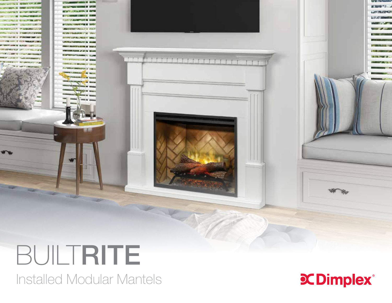

## BUILTRITE

Installed Modular Mantels

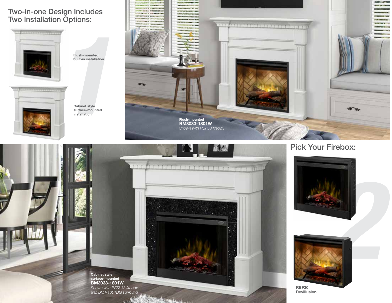## Two-in-one Design Includes Two Installation Options:



Flush-mounted built-in installation



Cabinet style surface-mounted installation





Pick Your Firebox:





RBF30 Revillusion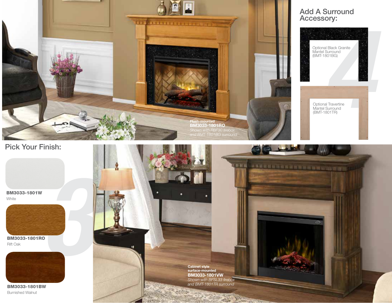